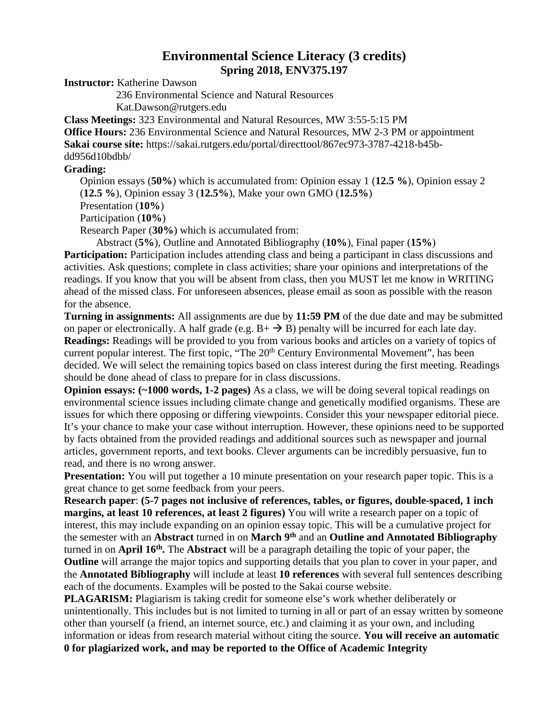## **Environmental Science Literacy (3 credits) Spring 2018, ENV375.197**

**Instructor:** Katherine Dawson

236 Environmental Science and Natural Resources

Kat.Dawson@rutgers.edu

**Class Meetings:** 323 Environmental and Natural Resources, MW 3:55-5:15 PM **Office Hours:** 236 Environmental Science and Natural Resources, MW 2-3 PM or appointment **Sakai course site:** https://sakai.rutgers.edu/portal/directtool/867ec973-3787-4218-b45bdd956d10bdbb/

## **Grading:**

Opinion essays (**50%**) which is accumulated from: Opinion essay 1 (**12.5 %**), Opinion essay 2 (**12.5 %**), Opinion essay 3 (**12.5%**), Make your own GMO (**12.5%**) Presentation (**10%**)

Participation (**10%**)

Research Paper (**30%**) which is accumulated from:

Abstract (**5%**), Outline and Annotated Bibliography (**10%**), Final paper (**15%**)

**Participation:** Participation includes attending class and being a participant in class discussions and activities. Ask questions; complete in class activities; share your opinions and interpretations of the readings. If you know that you will be absent from class, then you MUST let me know in WRITING ahead of the missed class. For unforeseen absences, please email as soon as possible with the reason for the absence.

**Turning in assignments:** All assignments are due by **11:59 PM** of the due date and may be submitted on paper or electronically. A half grade (e.g.  $B + \rightarrow B$ ) penalty will be incurred for each late day. **Readings:** Readings will be provided to you from various books and articles on a variety of topics of current popular interest. The first topic, "The 20<sup>th</sup> Century Environmental Movement", has been decided. We will select the remaining topics based on class interest during the first meeting. Readings should be done ahead of class to prepare for in class discussions.

**Opinion essays: (~1000 words, 1-2 pages)** As a class, we will be doing several topical readings on environmental science issues including climate change and genetically modified organisms. These are issues for which there opposing or differing viewpoints. Consider this your newspaper editorial piece. It's your chance to make your case without interruption. However, these opinions need to be supported by facts obtained from the provided readings and additional sources such as newspaper and journal articles, government reports, and text books. Clever arguments can be incredibly persuasive, fun to read, and there is no wrong answer.

**Presentation:** You will put together a 10 minute presentation on your research paper topic. This is a great chance to get some feedback from your peers.

**Research paper**: **(5-7 pages not inclusive of references, tables, or figures, double-spaced, 1 inch margins, at least 10 references, at least 2 figures)** You will write a research paper on a topic of interest, this may include expanding on an opinion essay topic. This will be a cumulative project for the semester with an **Abstract** turned in on **March 9th** and an **Outline and Annotated Bibliography**  turned in on **April 16th.** The **Abstract** will be a paragraph detailing the topic of your paper, the **Outline** will arrange the major topics and supporting details that you plan to cover in your paper, and the **Annotated Bibliography** will include at least **10 references** with several full sentences describing each of the documents. Examples will be posted to the Sakai course website.

**PLAGARISM:** Plagiarism is taking credit for someone else's work whether deliberately or unintentionally. This includes but is not limited to turning in all or part of an essay written by someone other than yourself (a friend, an internet source, etc.) and claiming it as your own, and including information or ideas from research material without citing the source. **You will receive an automatic 0 for plagiarized work, and may be reported to the Office of Academic Integrity**